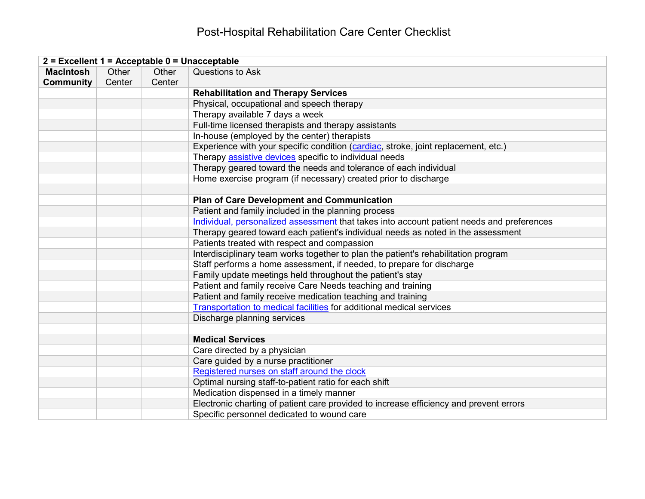## Post-Hospital Rehabilitation Care Center Checklist

| 2 = Excellent 1 = Acceptable 0 = Unacceptable |                 |                 |                                                                                           |  |
|-----------------------------------------------|-----------------|-----------------|-------------------------------------------------------------------------------------------|--|
| <b>MacIntosh</b><br><b>Community</b>          | Other<br>Center | Other<br>Center | Questions to Ask                                                                          |  |
|                                               |                 |                 | <b>Rehabilitation and Therapy Services</b>                                                |  |
|                                               |                 |                 | Physical, occupational and speech therapy                                                 |  |
|                                               |                 |                 | Therapy available 7 days a week                                                           |  |
|                                               |                 |                 | Full-time licensed therapists and therapy assistants                                      |  |
|                                               |                 |                 | In-house (employed by the center) therapists                                              |  |
|                                               |                 |                 | Experience with your specific condition (cardiac, stroke, joint replacement, etc.)        |  |
|                                               |                 |                 | Therapy assistive devices specific to individual needs                                    |  |
|                                               |                 |                 | Therapy geared toward the needs and tolerance of each individual                          |  |
|                                               |                 |                 | Home exercise program (if necessary) created prior to discharge                           |  |
|                                               |                 |                 |                                                                                           |  |
|                                               |                 |                 | <b>Plan of Care Development and Communication</b>                                         |  |
|                                               |                 |                 | Patient and family included in the planning process                                       |  |
|                                               |                 |                 | Individual, personalized assessment that takes into account patient needs and preferences |  |
|                                               |                 |                 | Therapy geared toward each patient's individual needs as noted in the assessment          |  |
|                                               |                 |                 | Patients treated with respect and compassion                                              |  |
|                                               |                 |                 | Interdisciplinary team works together to plan the patient's rehabilitation program        |  |
|                                               |                 |                 | Staff performs a home assessment, if needed, to prepare for discharge                     |  |
|                                               |                 |                 | Family update meetings held throughout the patient's stay                                 |  |
|                                               |                 |                 | Patient and family receive Care Needs teaching and training                               |  |
|                                               |                 |                 | Patient and family receive medication teaching and training                               |  |
|                                               |                 |                 | Transportation to medical facilities for additional medical services                      |  |
|                                               |                 |                 | Discharge planning services                                                               |  |
|                                               |                 |                 |                                                                                           |  |
|                                               |                 |                 | <b>Medical Services</b>                                                                   |  |
|                                               |                 |                 | Care directed by a physician                                                              |  |
|                                               |                 |                 | Care guided by a nurse practitioner                                                       |  |
|                                               |                 |                 | Registered nurses on staff around the clock                                               |  |
|                                               |                 |                 | Optimal nursing staff-to-patient ratio for each shift                                     |  |
|                                               |                 |                 | Medication dispensed in a timely manner                                                   |  |
|                                               |                 |                 | Electronic charting of patient care provided to increase efficiency and prevent errors    |  |
|                                               |                 |                 | Specific personnel dedicated to wound care                                                |  |